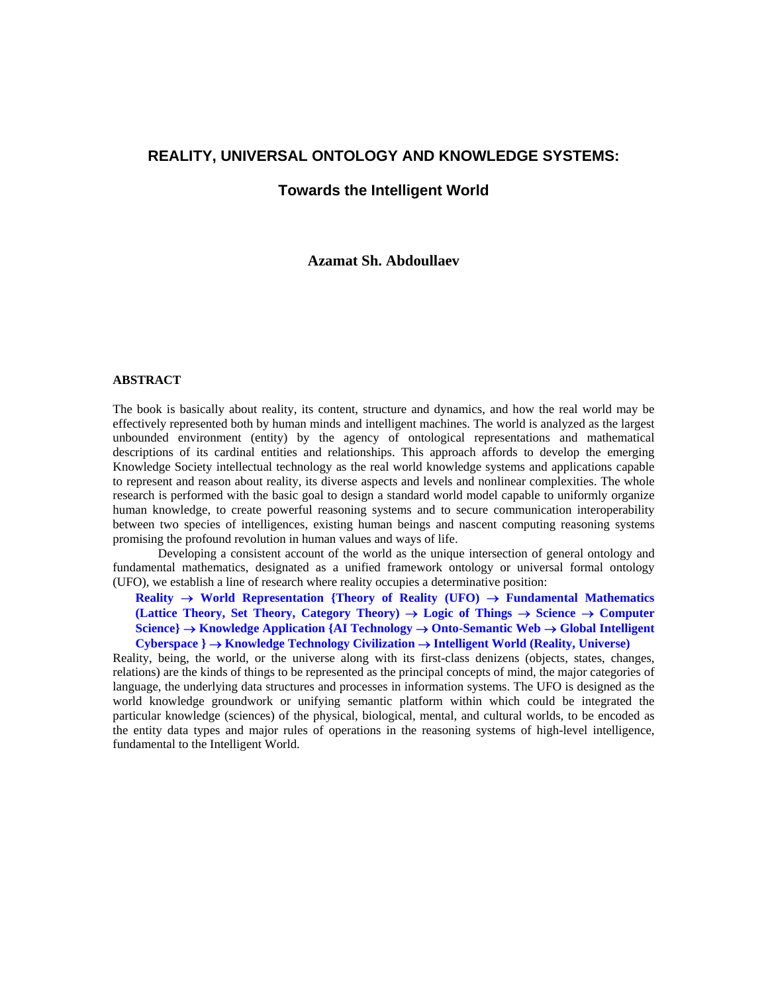## **REALITY, UNIVERSAL ONTOLOGY AND KNOWLEDGE SYSTEMS:**

### **Towards the Intelligent World**

#### **Azamat Sh. Abdoullaev**

#### **ABSTRACT**

The book is basically about reality, its content, structure and dynamics, and how the real world may be effectively represented both by human minds and intelligent machines. The world is analyzed as the largest unbounded environment (entity) by the agency of ontological representations and mathematical descriptions of its cardinal entities and relationships. This approach affords to develop the emerging Knowledge Society intellectual technology as the real world knowledge systems and applications capable to represent and reason about reality, its diverse aspects and levels and nonlinear complexities. The whole research is performed with the basic goal to design a standard world model capable to uniformly organize human knowledge, to create powerful reasoning systems and to secure communication interoperability between two species of intelligences, existing human beings and nascent computing reasoning systems promising the profound revolution in human values and ways of life.

Developing a consistent account of the world as the unique intersection of general ontology and fundamental mathematics, designated as a unified framework ontology or universal formal ontology (UFO), we establish a line of research where reality occupies a determinative position:

**Reality** → **World Representation {Theory of Reality (UFO)** → **Fundamental Mathematics (Lattice Theory, Set Theory, Category Theory)** → **Logic of Things** → **Science** → **Computer Science}** → **Knowledge Application {AI Technology** → **Onto-Semantic Web** → **Global Intelligent Cyberspace }** → **Knowledge Technology Civilization** → **Intelligent World (Reality, Universe)** 

Reality, being, the world, or the universe along with its first-class denizens (objects, states, changes, relations) are the kinds of things to be represented as the principal concepts of mind, the major categories of language, the underlying data structures and processes in information systems. The UFO is designed as the world knowledge groundwork or unifying semantic platform within which could be integrated the particular knowledge (sciences) of the physical, biological, mental, and cultural worlds, to be encoded as the entity data types and major rules of operations in the reasoning systems of high-level intelligence, fundamental to the Intelligent World.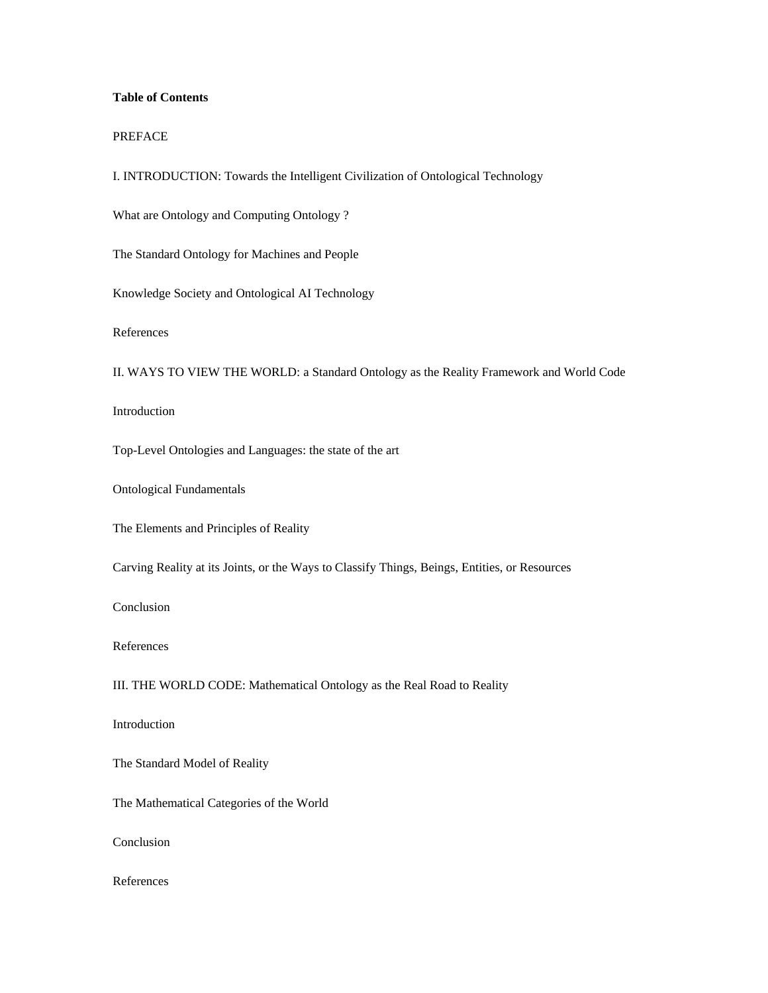# **Table of Contents**

#### PREFACE

I. INTRODUCTION: Towards the Intelligent Civilization of Ontological Technology

What are Ontology and Computing Ontology ?

The Standard Ontology for Machines and People

Knowledge Society and Ontological AI Technology

References

II. WAYS TO VIEW THE WORLD: a Standard Ontology as the Reality Framework and World Code

Introduction

Top-Level Ontologies and Languages: the state of the art

Ontological Fundamentals

The Elements and Principles of Reality

Carving Reality at its Joints, or the Ways to Classify Things, Beings, Entities, or Resources

Conclusion

References

III. THE WORLD CODE: Mathematical Ontology as the Real Road to Reality

Introduction

The Standard Model of Reality

The Mathematical Categories of the World

Conclusion

References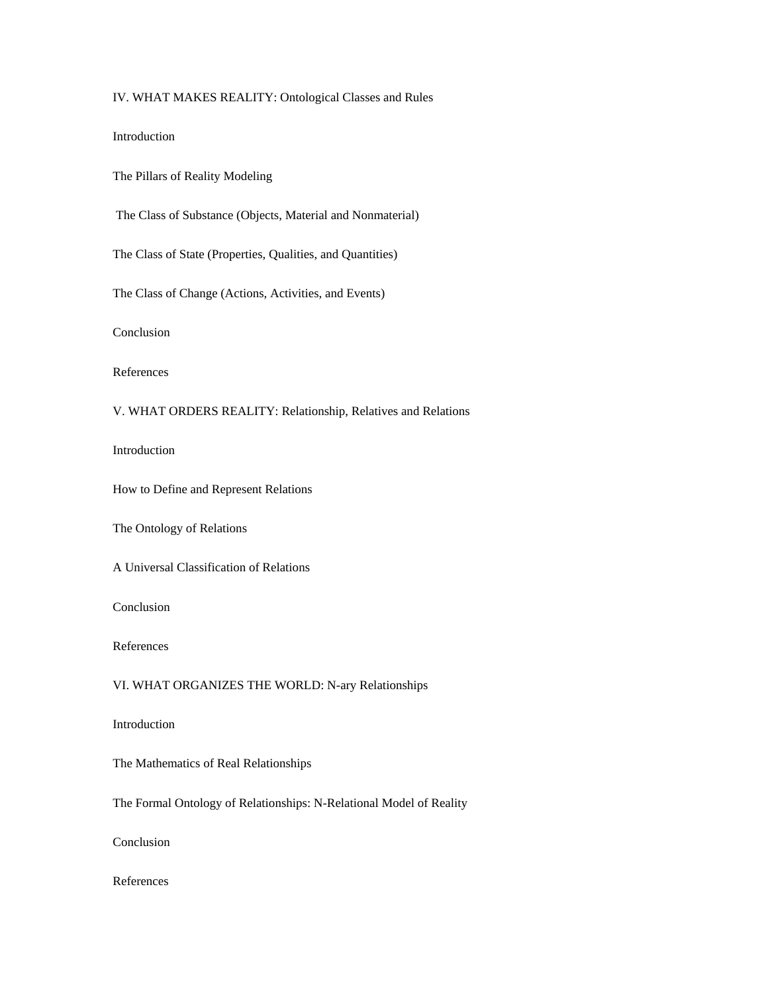## IV. WHAT MAKES REALITY: Ontological Classes and Rules

Introduction

The Pillars of Reality Modeling

The Class of Substance (Objects, Material and Nonmaterial)

The Class of State (Properties, Qualities, and Quantities)

The Class of Change (Actions, Activities, and Events)

Conclusion

References

## V. WHAT ORDERS REALITY: Relationship, Relatives and Relations

Introduction

How to Define and Represent Relations

The Ontology of Relations

A Universal Classification of Relations

Conclusion

References

### VI. WHAT ORGANIZES THE WORLD: N-ary Relationships

Introduction

The Mathematics of Real Relationships

The Formal Ontology of Relationships: N-Relational Model of Reality

Conclusion

References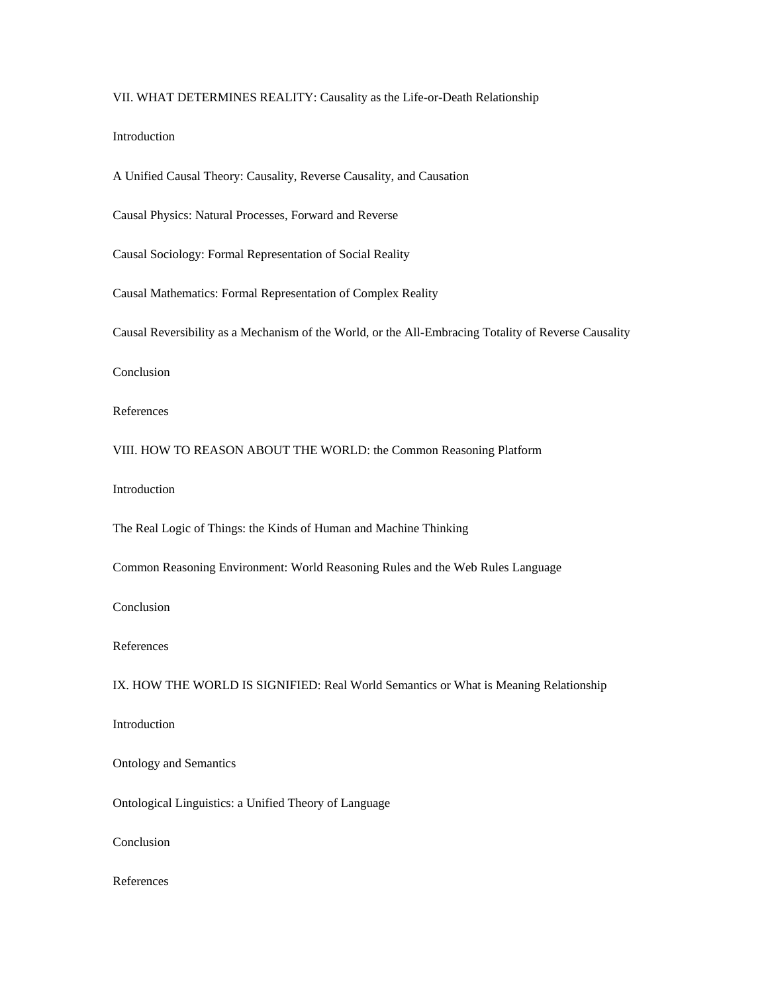### VII. WHAT DETERMINES REALITY: Causality as the Life-or-Death Relationship

Introduction

A Unified Causal Theory: Causality, Reverse Causality, and Causation

Causal Physics: Natural Processes, Forward and Reverse

Causal Sociology: Formal Representation of Social Reality

Causal Mathematics: Formal Representation of Complex Reality

Causal Reversibility as a Mechanism of the World, or the All-Embracing Totality of Reverse Causality

Conclusion

References

VIII. HOW TO REASON ABOUT THE WORLD: the Common Reasoning Platform

Introduction

The Real Logic of Things: the Kinds of Human and Machine Thinking

Common Reasoning Environment: World Reasoning Rules and the Web Rules Language

Conclusion

References

IX. HOW THE WORLD IS SIGNIFIED: Real World Semantics or What is Meaning Relationship

Introduction

Ontology and Semantics

Ontological Linguistics: a Unified Theory of Language

Conclusion

References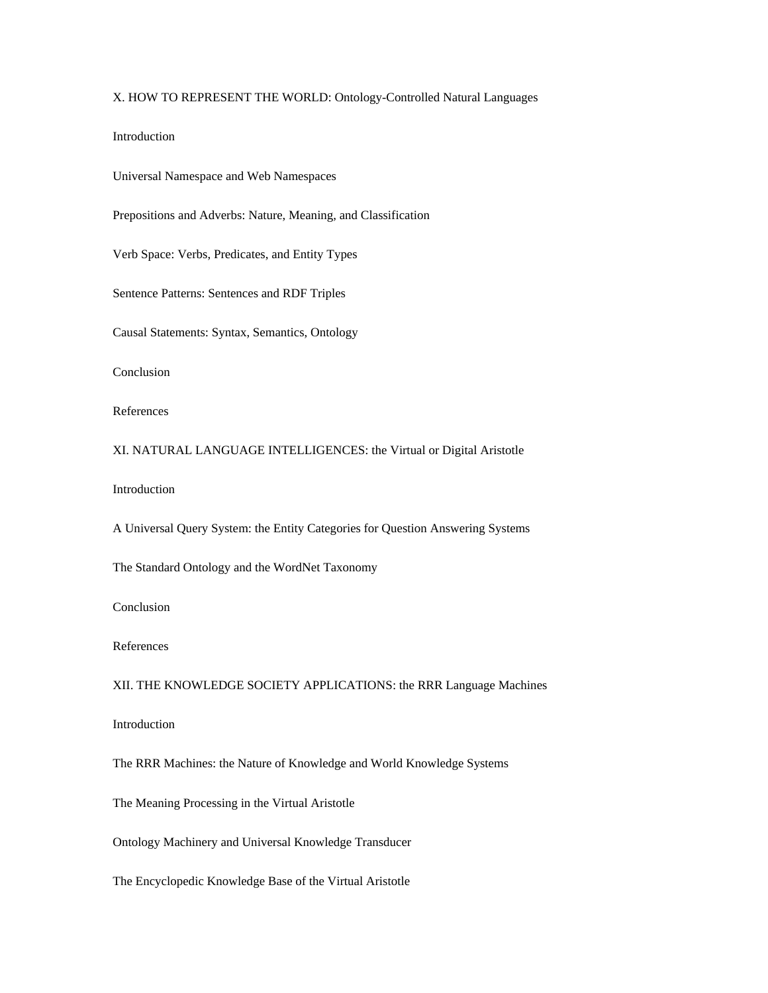# X. HOW TO REPRESENT THE WORLD: Ontology-Controlled Natural Languages

Introduction

Universal Namespace and Web Namespaces

Prepositions and Adverbs: Nature, Meaning, and Classification

Verb Space: Verbs, Predicates, and Entity Types

Sentence Patterns: Sentences and RDF Triples

Causal Statements: Syntax, Semantics, Ontology

Conclusion

References

XI. NATURAL LANGUAGE INTELLIGENCES: the Virtual or Digital Aristotle

Introduction

A Universal Query System: the Entity Categories for Question Answering Systems

The Standard Ontology and the WordNet Taxonomy

Conclusion

References

XII. THE KNOWLEDGE SOCIETY APPLICATIONS: the RRR Language Machines

Introduction

The RRR Machines: the Nature of Knowledge and World Knowledge Systems

The Meaning Processing in the Virtual Aristotle

Ontology Machinery and Universal Knowledge Transducer

The Encyclopedic Knowledge Base of the Virtual Aristotle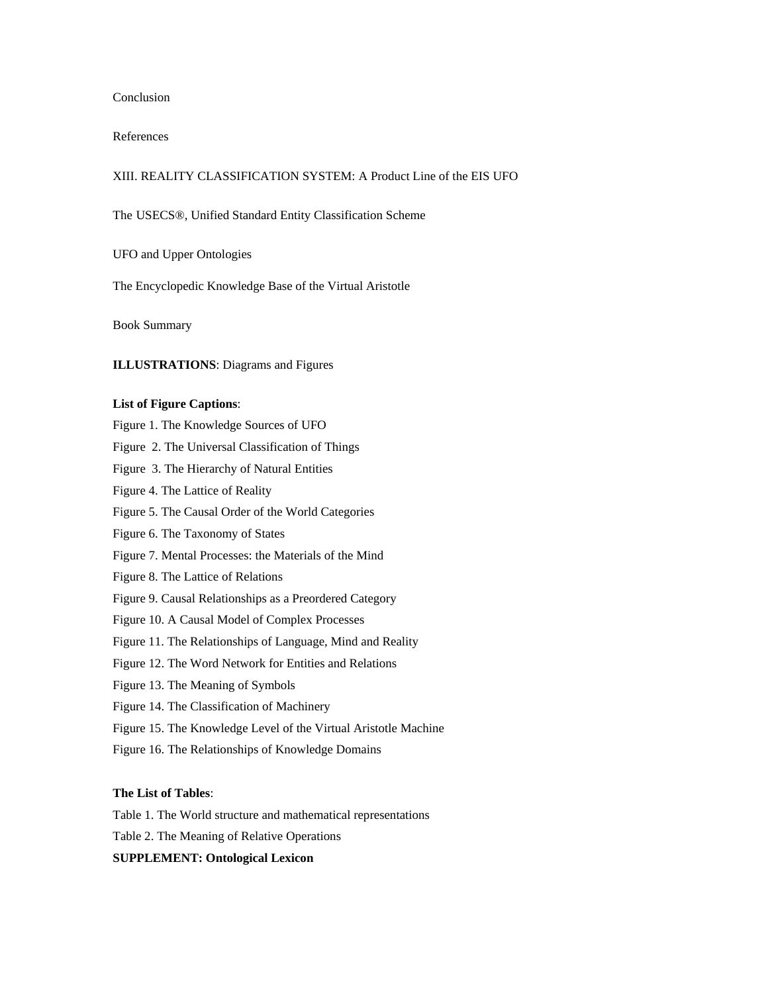#### Conclusion

#### References

### XIII. REALITY CLASSIFICATION SYSTEM: A Product Line of the EIS UFO

- The USECS®, Unified Standard Entity Classification Scheme
- UFO and Upper Ontologies
- The Encyclopedic Knowledge Base of the Virtual Aristotle

Book Summary

### **ILLUSTRATIONS**: Diagrams and Figures

#### **List of Figure Captions**:

Figure 1. The Knowledge Sources of UFO

Figure 2. The Universal Classification of Things

Figure 3. The Hierarchy of Natural Entities

Figure 4. The Lattice of Reality

Figure 5. The Causal Order of the World Categories

Figure 6. The Taxonomy of States

Figure 7. Mental Processes: the Materials of the Mind

Figure 8. The Lattice of Relations

Figure 9. Causal Relationships as a Preordered Category

Figure 10. A Causal Model of Complex Processes

Figure 11. The Relationships of Language, Mind and Reality

Figure 12. The Word Network for Entities and Relations

Figure 13. The Meaning of Symbols

Figure 14. The Classification of Machinery

Figure 15. The Knowledge Level of the Virtual Aristotle Machine

Figure 16. The Relationships of Knowledge Domains

#### **The List of Tables**:

Table 1. The World structure and mathematical representations

Table 2. The Meaning of Relative Operations

**SUPPLEMENT: Ontological Lexicon**